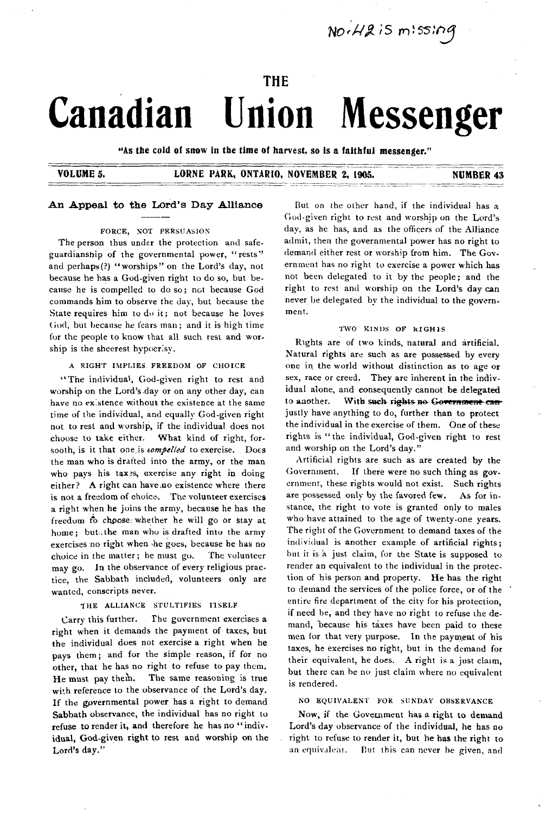$NorAB$  is  $m!s sin q$ 

#### THE

# **Canadian Union Messenger**

"As the cold of snow in the time of harvest, so is a faithful messenger."

#### VOLUME 5. LORNE PARK, ONTARIO, NOVEMBER 2, 1905. NUMBER 43

#### An Appeal to the Lord's Day Alliance

#### FORCE, NOT PERSUASION

The person thus under the protection and safeguardianship of the governmental power, "rests" and perhaps (?) "worships" on the Lord's day, not because he has a God-given right to do so, but because he is compelled to do so; not because God commands him to observe the day, but because the State requires him to do it; not because he loves God, but because he fears man; and it is high time for the people to know that all such rest and worship is the sheerest hypocrisy.

#### A RIGHT IMPLIES. FREEDOM OF CHOICE

"The individual, God-given right to rest and worship on the Lord's day or on any other day, can have no existence without the existence at the same time of the individual, and equally God-given right not to rest and worship, if the individual does not choose to take either. What kind of right, forsooth, is it that one is *tompelled* to exercise. Does the man who is drafted into the army, or the man who pays his tax exercise any right in doing either? A right can have no existence where there is not a freedom of choice. The volunteer exercises a right when he joins the army, because he has the freedom to choose: whether he will go or stay at home; but the man who is drafted into the army exercises no right when the goes, because he has no choice in the matter; he must go. The volunteer may go. In the observance of every religious practice, the Sabbath included, volunteers only are wanted, conscripts never.

#### THE ALLIANCE STULTIFIES ITSELF

Carry this further. The government exercises a right when it demands the payment of taxes, but the individual does not exercise a right when he pays them; and for the simple reason, if for no other, that he has no right to refuse to pay them. He must pay them. The same reasoning is true with reference to the observance of the Lord's day. If the governmental power has a right to demand Sabbath observance, the individual has no right to refuse to render it, and therefore he has no "individual, God-given right to rest and worship on the Lord's day."

But on the other hand, if the individual has a God-given right to rest and worship on the Lord's day, as he has, and as the officers of the Alliance admit, then the governmental power has no right to demand either rest or worship from him. The Government has no right to exercise a power which has not been delegated to it by the people; and the right to rest and worship on the Lord's day can never be delegated bv the individual to the govern ment.

#### TWO KINDS OF RIGH1S

Rights are of two kinds, natural and artificial. Natural rights are such as are possessed by every one in the world without distinction as to age or sex, race or creed. They are inherent in the individual alone, and consequently cannot be delegated to another. With such rights no Government canjustly have anything to do, further than to protect the individual in the exercise of them. One of these rights is "the individual, God-given right to rest and worship on the Lord's day."

Artificial rights are such as are created by the Government. If there were no such thing as government, these rights would not exist. Such rights are possessed only by the favored few. As for instance, the right to vote is granted only to males who have attained to the age of twenty-one years. The right of the Government to demand taxes of the individual is another example of artificial rights; but it is a just claim, for the State is supposed to render an equivalent to the individual in the protection of his person and property. He has the right to demand the services of the police force, or of the entire fire department of the city for his protection, if need be, and they have no right to refuse the demand, because his taxes have been paid to these men for that very purpose. In the payment of his taxes, he exercises no right, but in the demand for their equivalent, he does. A right is a just claim, but there can be no just claim where no equivalent is rendered.

#### NO EQUIVALENT FOR SUNDAY OBSERVANCE

Now, if the Government has a right to demand Lord's day observance of the individual, he has no right to refuse to render it, but he has the right to an equivalent. But this can never be given, and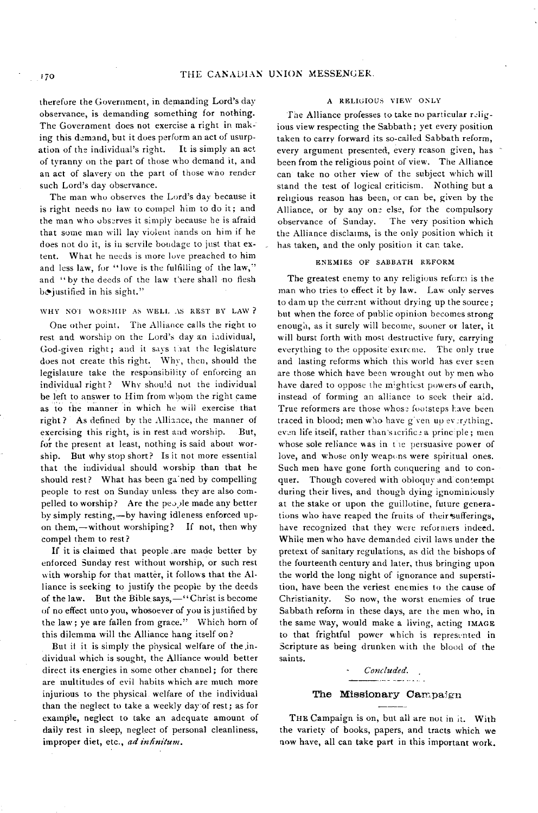therefore the Government, in demanding Lord's day observance, is demanding something for nothing. The Government does not exercise a right in making this demand, but it does perform an act of usurpation of the individual's right. It is simply an act of tyranny on the part of those who demand it, and an act of slavery on the part of those who render such Lord's day observance.

The man who observes the Lord's day because it is right needs no law to compel him to do it; and the man who observes it simply because he is afraid that some man will lay violent hands on him if he does not do it, is in servile bondage to just that extent. What he needs is more love preached to him and less law, for "love is the fulfilling of the law," and "by the deeds of the law there shall no flesh be justified in his sight."

#### WHY NOT WORSHIP AS WELL AS REST BY LAW ?

One other point. The Alliance calls the right to rest and worship on the Lord's day an individual, God-given right; and it says that the legislature does not create this right. Why, then, should the legislature take the responsibility of enforcing an individual right? Why should not the individual be left to answer to Him from whom the right came as to the manner in which he will exercise that right  $?$  As defined by the Alliance, the manner of exercising this right, is in rest and worship. But, for the present at least, nothing is said about worship. But why stop short? Is it not more essential that the individual should worship than that he should rest? What has been ga ned by compelling people to rest on Sunday unless they are also compelled to worship? Are the people made any better by simply resting,-by having idleness enforced upon them,—without worshiping? If not, then why com pel them to rest?

If it is claimed that people are made better by enforced Sunday rest without worship, or such rest with worship for that matter, it follows that the Alliance is seeking to justify the people by the deeds of the law. But the Bible says,—"Christ is become of no effect unto you, whosoever of you is justified by the law; ye are fallen from grace." Which horn of this dilemma will the Alliance hang itself on?

But it it is simply the physical welfare of the individual which is sought, the Alliance would better direct its energies in some other channel; for there are multitudes of evil habits which are much more injurious to the physical welfare of the individual than the neglect to take a weekly day of rest; as for example, neglect to take an adequate amount of daily rest in sleep, neglect of personal cleanliness, im proper diet, etc., *ad infinitum .*

#### A RELIGIOUS VIEW ONLY

The Alliance professes to take no particular religious view respecting the Sabbath; yet every position taken to carry forward its so-called Sabbath reform. every argument presented, every reason given, has been from the religious point of view. The Alliance can take no other view of the subject which will stand the test of logical criticism. Nothing but a religious reason has been, or can be, given by the Alliance, or by any one else, for the compulsory observance of Sunday. The very position which The very position which the Alliance disclaims, is the only position which it has taken, and the only position it car. take.

#### ENEM IES OF SABBATH REFORM

The greatest enemy to any religious reform is the man who tries to effect it by law. Law only serves to dam up the current without drying up the source; but when the force of public opinion becomes strong enough, as it surely will become, sooner or later, it will burst forth with most destructive fury, carrying everything to the opposite extreme. The only true and lasting reforms which this world has ever seen are those which have been wrought out by men who have dared to oppose the mightiest powers of earth, instead of forming an alliance to seek their aid. True reformers are those whose footsteps have been traced in blood; men who have given up everything, even life itself, rather than's icrifice a principle; men whose sole reliance was in the persuasive power of love, and whose only weapons were spiritual ones. Such men have gone forth conquering and to conquer. Though covered with obloquy and contempt during their lives, and though dying ignominiously at the stake or upon the guillotine, future generations who have reaped the fruits of their sufferings, have recognized that they were reformers indeed. While men who have demanded civil laws under the pretext of sanitary regulations, as did the bishops of the fourteenth century and later, thus bringing upon the world the long night of ignorance and superstition, have been the veriest enemies to the cause of Christianity. So now, the worst enemies of true Sabbath reform in these days, are the men who, in the same way, would make a living, acting IMAGE to that frightful power which is represented in Scripture as being drunken with the blood of the saints.

## *Concluded.*

#### The Missionary Campaign

THE Campaign is on, but all are not in it. With the variety of books, papers, and tracts which we now have, all can take part in this important work.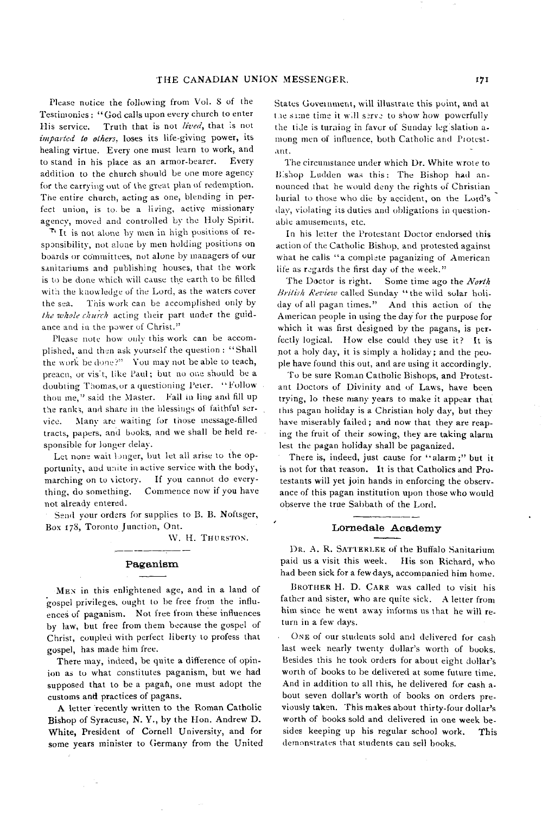Please notice the following from Vol. 8 of the Testimonies : "God calls upon every church to enter His service. Truth that is not *lived*, that is not *imparted to others*. loses its life-giving power, its healing virtue. Every one must learn to work, and to stand in his place as an armor-bearer. Every addition to the church should be one more agency for the carrying out of the great plan of redemption. The entire church, acting as one, blending in perfect union, is to be a living, active missionary agency, moved and controlled by the Holy Spirit.

 $\tau$ <sup>t</sup> It is not alone by men in high positions of responsibility, not alone by men holding positions on boards or committees, not alone by managers of our sanitariums and publishing houses, that the work is to be done which will cause the earth to be filled with the knowledge of the Lord, as the waters cover the sea. This work can be accomplished only by the whole church acting their part under the guidance and in the power of Christ."

Please note how only this work can be accom plished, and then ask yourself the question : "Shall the work be done?" You may not be able to teach, preacu, or vis't, like Paul; but no one should be a doubting Thomas, or a questioning Peter. " Follow thou me," said the Master. Fall in line and fill up the ranks, and share in the blessings of faithful service. Many are waiting for those message-filled tracts, papers, and books, and we shall be held responsible for longer delay.

Let none wait longer, but let all arise to the opportunity, and unite in active service with the body, marching on to victory. If you cannot do everything, do something. Commence now if you have not already entered.

Send your orders for supplies to B. B. Noftsger, Box 178, Toronto Junction, Ont.

W. H. THURSTON.

#### Paganism

MEN in this enlightened age, and in a land of gospel privileges, ought to be free from the influences of paganism. Not free from these influences by law, but free from them because the gospel of Christ, coupled with perfect liberty to profess that gospel, has made him free.

There may, indeed, be quite a difference of opinion as to what constitutes paganism, but we had supposed that to be a pagaft, one must adopt the customs and practices of pagans.

A letter recently written to the Roman Catholic Bishop of Syracuse, N.Y., by the Hon. Andrew D. White, President of Cornell University, and for some years minister to Germany from the United States Government, will illustrate this point, and at the same time it will serve to show how powerfully the tide is turning in favor of Sunday legislation among men of influence, both Catholic and Protestant.

The circumstance under which Dr. White wrote to B shop Ludden was this: The Bishop had announced that he would deny the rights of Christian burial to those who die by accident, on the Lord's day, violating its duties and obligations in questionable amusements, etc.

In his letter the Protestant Doctor endorsed this action of the Catholic Bishop, and protested against what he calls "a complete paganizing of American life as regards the first day of the week."

The Doctor is right. Some time ago the *North* British Review called Sunday "the wild solar holiday of all pagan times." And this action of the American people in using the day for the purpose for which it was first designed by the pagans, is perfectly logical. How else could they use it? It is not a holy day, it is simply a holiday; and the people have found this out, and are using it accordingly.

To be sure Roman Catholic Bishops, and Protestant Doctors of Divinity and of Laws, have been trying, lo these many years to make it appear that this pagan holiday is a Christian holy day, but they have miserably failed; and now that they are reaping the fruit of their sowing, they are taking alarm lest the pagan holiday shall be paganized.

There is, indeed, just cause for "alarm;" but it is not for that reason. It is that Catholics and Protestants will yet join hands in enforcing the observance of this pagan institution upon those who would observe the true Sabbath of the Lord.

#### Lornedale Academ y

DR. A. R. SATTERLEE of the Buffalo Sanitarium paid us a visit this week. His son Richard, who had been sick for a few days, accompanied him home.

BROTHER H. D. CARR was called to visit his father and sister, who are quite sick. A letter from him since he went away informs us that he will return in a few days.

ONE of our students sold and delivered for cash last week nearly twenty dollar's worth of books. Besides this he took orders for about eight dollar's worth of books to be delivered at some future time. And in addition to all this, he delivered for cash about seven dollar's worth of books on orders previously taken. This makes about thirty-four dollar's worth of books sold and delivered in one week besides keeping up his regular school work. This dem onstrates that students can sell books.